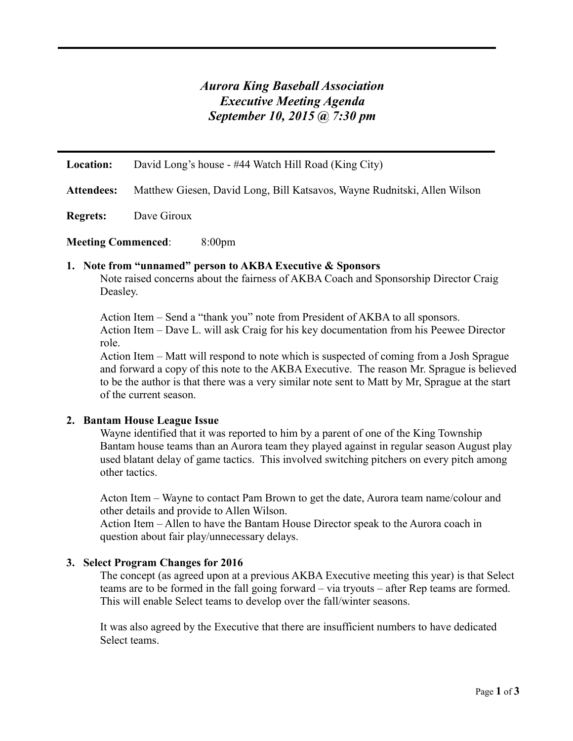# *Aurora King Baseball Association Executive Meeting Agenda September 10, 2015 @ 7:30 pm*

**Location:** David Long's house - #44 Watch Hill Road (King City)

**Attendees:** Matthew Giesen, David Long, Bill Katsavos, Wayne Rudnitski, Allen Wilson

**Regrets:** Dave Giroux

**Meeting Commenced**: 8:00pm

#### **1. Note from "unnamed" person to AKBA Executive & Sponsors**

Note raised concerns about the fairness of AKBA Coach and Sponsorship Director Craig Deasley.

Action Item – Send a "thank you" note from President of AKBA to all sponsors. Action Item – Dave L. will ask Craig for his key documentation from his Peewee Director role.

Action Item – Matt will respond to note which is suspected of coming from a Josh Sprague and forward a copy of this note to the AKBA Executive. The reason Mr. Sprague is believed to be the author is that there was a very similar note sent to Matt by Mr, Sprague at the start of the current season.

# **2. Bantam House League Issue**

Wayne identified that it was reported to him by a parent of one of the King Township Bantam house teams than an Aurora team they played against in regular season August play used blatant delay of game tactics. This involved switching pitchers on every pitch among other tactics.

Acton Item – Wayne to contact Pam Brown to get the date, Aurora team name/colour and other details and provide to Allen Wilson.

Action Item – Allen to have the Bantam House Director speak to the Aurora coach in question about fair play/unnecessary delays.

# **3. Select Program Changes for 2016**

The concept (as agreed upon at a previous AKBA Executive meeting this year) is that Select teams are to be formed in the fall going forward – via tryouts – after Rep teams are formed. This will enable Select teams to develop over the fall/winter seasons.

It was also agreed by the Executive that there are insufficient numbers to have dedicated Select teams.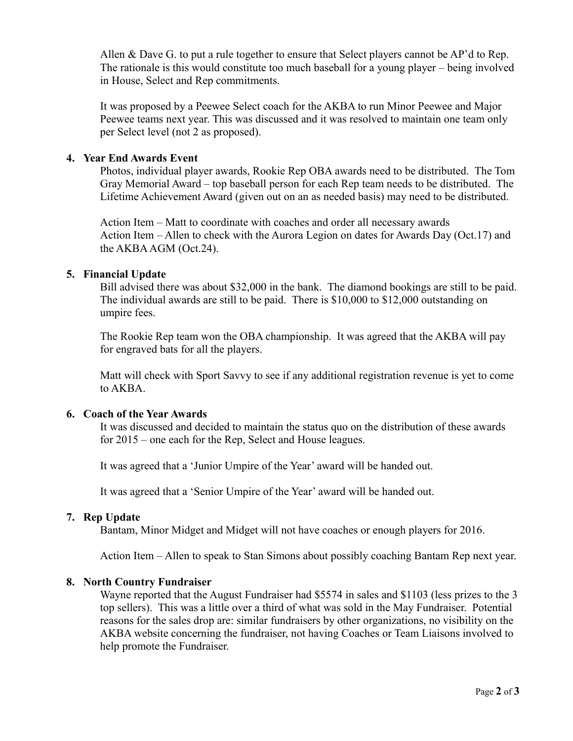Allen & Dave G. to put a rule together to ensure that Select players cannot be AP'd to Rep. The rationale is this would constitute too much baseball for a young player – being involved in House, Select and Rep commitments.

It was proposed by a Peewee Select coach for the AKBA to run Minor Peewee and Major Peewee teams next year. This was discussed and it was resolved to maintain one team only per Select level (not 2 as proposed).

# **4. Year End Awards Event**

Photos, individual player awards, Rookie Rep OBA awards need to be distributed. The Tom Gray Memorial Award – top baseball person for each Rep team needs to be distributed. The Lifetime Achievement Award (given out on an as needed basis) may need to be distributed.

Action Item – Matt to coordinate with coaches and order all necessary awards Action Item – Allen to check with the Aurora Legion on dates for Awards Day (Oct.17) and the AKBA AGM (Oct.24).

#### **5. Financial Update**

Bill advised there was about \$32,000 in the bank. The diamond bookings are still to be paid. The individual awards are still to be paid. There is \$10,000 to \$12,000 outstanding on umpire fees.

The Rookie Rep team won the OBA championship. It was agreed that the AKBA will pay for engraved bats for all the players.

Matt will check with Sport Savvy to see if any additional registration revenue is yet to come to AKBA.

# **6. Coach of the Year Awards**

It was discussed and decided to maintain the status quo on the distribution of these awards for 2015 – one each for the Rep, Select and House leagues.

It was agreed that a 'Junior Umpire of the Year' award will be handed out.

It was agreed that a 'Senior Umpire of the Year' award will be handed out.

# **7. Rep Update**

Bantam, Minor Midget and Midget will not have coaches or enough players for 2016.

Action Item – Allen to speak to Stan Simons about possibly coaching Bantam Rep next year.

#### **8. North Country Fundraiser**

Wayne reported that the August Fundraiser had \$5574 in sales and \$1103 (less prizes to the 3 top sellers). This was a little over a third of what was sold in the May Fundraiser. Potential reasons for the sales drop are: similar fundraisers by other organizations, no visibility on the AKBA website concerning the fundraiser, not having Coaches or Team Liaisons involved to help promote the Fundraiser.